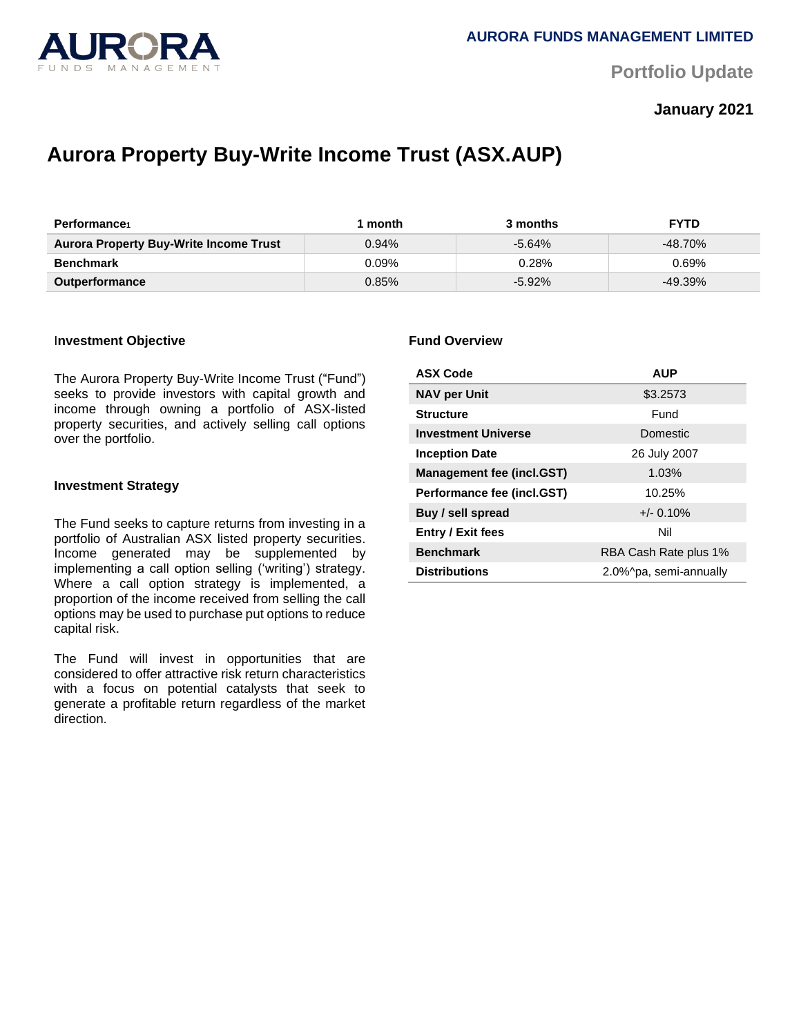

**Portfolio Update** 

# **January 2021**

# **Aurora Property Buy-Write Income Trust (ASX.AUP)**

| <b>Performance</b>                            | month | 3 months  | <b>FYTD</b> |
|-----------------------------------------------|-------|-----------|-------------|
| <b>Aurora Property Buy-Write Income Trust</b> | 0.94% | $-5.64%$  | $-48.70\%$  |
| <b>Benchmark</b>                              | 0.09% | $0.28\%$  | 0.69%       |
| <b>Outperformance</b>                         | 0.85% | $-5.92\%$ | $-49.39\%$  |

#### I**nvestment Objective**

The Aurora Property Buy-Write Income Trust ("Fund") seeks to provide investors with capital growth and income through owning a portfolio of ASX-listed property securities, and actively selling call options over the portfolio.

#### **Investment Strategy**

The Fund seeks to capture returns from investing in a portfolio of Australian ASX listed property securities. Income generated may be supplemented by implementing a call option selling ('writing') strategy. Where a call option strategy is implemented, a proportion of the income received from selling the call options may be used to purchase put options to reduce capital risk.

The Fund will invest in opportunities that are considered to offer attractive risk return characteristics with a focus on potential catalysts that seek to generate a profitable return regardless of the market direction.

#### **Fund Overview**

| <b>ASX Code</b>            | <b>AUP</b>             |  |
|----------------------------|------------------------|--|
| <b>NAV per Unit</b>        | \$3.2573               |  |
| <b>Structure</b>           | Fund                   |  |
| <b>Investment Universe</b> | Domestic               |  |
| <b>Inception Date</b>      | 26 July 2007           |  |
| Management fee (incl.GST)  | 1.03%                  |  |
| Performance fee (incl.GST) | 10.25%                 |  |
| Buy / sell spread          | $+/- 0.10%$            |  |
| <b>Entry / Exit fees</b>   | Nil                    |  |
| <b>Benchmark</b>           | RBA Cash Rate plus 1%  |  |
| <b>Distributions</b>       | 2.0%^pa, semi-annually |  |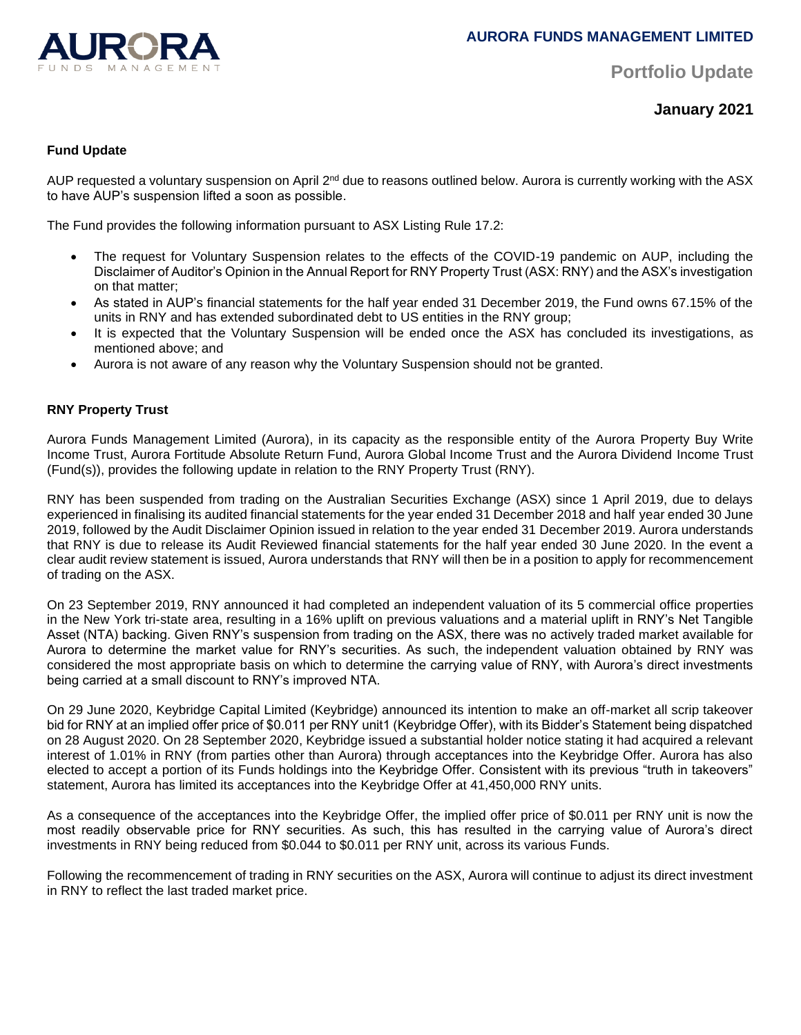

**Portfolio Update** 

**January 2021**

# **Fund Update**

AUP requested a voluntary suspension on April 2<sup>nd</sup> due to reasons outlined below. Aurora is currently working with the ASX to have AUP's suspension lifted a soon as possible.

The Fund provides the following information pursuant to ASX Listing Rule 17.2:

- The request for Voluntary Suspension relates to the effects of the COVID-19 pandemic on AUP, including the Disclaimer of Auditor's Opinion in the Annual Report for RNY Property Trust (ASX: RNY) and the ASX's investigation on that matter;
- As stated in AUP's financial statements for the half year ended 31 December 2019, the Fund owns 67.15% of the units in RNY and has extended subordinated debt to US entities in the RNY group;
- It is expected that the Voluntary Suspension will be ended once the ASX has concluded its investigations, as mentioned above; and
- Aurora is not aware of any reason why the Voluntary Suspension should not be granted.

# **RNY Property Trust**

Aurora Funds Management Limited (Aurora), in its capacity as the responsible entity of the Aurora Property Buy Write Income Trust, Aurora Fortitude Absolute Return Fund, Aurora Global Income Trust and the Aurora Dividend Income Trust (Fund(s)), provides the following update in relation to the RNY Property Trust (RNY).

RNY has been suspended from trading on the Australian Securities Exchange (ASX) since 1 April 2019, due to delays experienced in finalising its audited financial statements for the year ended 31 December 2018 and half year ended 30 June 2019, followed by the Audit Disclaimer Opinion issued in relation to the year ended 31 December 2019. Aurora understands that RNY is due to release its Audit Reviewed financial statements for the half year ended 30 June 2020. In the event a clear audit review statement is issued, Aurora understands that RNY will then be in a position to apply for recommencement of trading on the ASX.

On 23 September 2019, RNY announced it had completed an independent valuation of its 5 commercial office properties in the New York tri-state area, resulting in a 16% uplift on previous valuations and a material uplift in RNY's Net Tangible Asset (NTA) backing. Given RNY's suspension from trading on the ASX, there was no actively traded market available for Aurora to determine the market value for RNY's securities. As such, the independent valuation obtained by RNY was considered the most appropriate basis on which to determine the carrying value of RNY, with Aurora's direct investments being carried at a small discount to RNY's improved NTA.

On 29 June 2020, Keybridge Capital Limited (Keybridge) announced its intention to make an off-market all scrip takeover bid for RNY at an implied offer price of \$0.011 per RNY unit1 (Keybridge Offer), with its Bidder's Statement being dispatched on 28 August 2020. On 28 September 2020, Keybridge issued a substantial holder notice stating it had acquired a relevant interest of 1.01% in RNY (from parties other than Aurora) through acceptances into the Keybridge Offer. Aurora has also elected to accept a portion of its Funds holdings into the Keybridge Offer. Consistent with its previous "truth in takeovers" statement, Aurora has limited its acceptances into the Keybridge Offer at 41,450,000 RNY units.

As a consequence of the acceptances into the Keybridge Offer, the implied offer price of \$0.011 per RNY unit is now the most readily observable price for RNY securities. As such, this has resulted in the carrying value of Aurora's direct investments in RNY being reduced from \$0.044 to \$0.011 per RNY unit, across its various Funds.

Following the recommencement of trading in RNY securities on the ASX, Aurora will continue to adjust its direct investment in RNY to reflect the last traded market price.